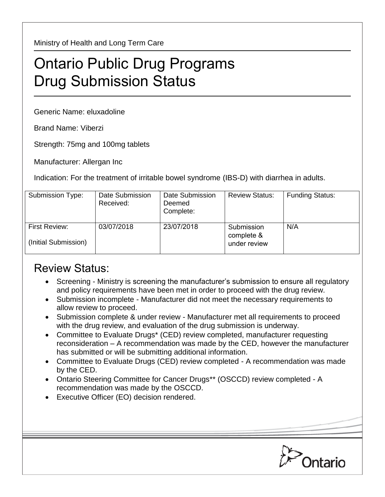Ministry of Health and Long Term Care

## Ontario Public Drug Programs Drug Submission Status

Generic Name: eluxadoline

Brand Name: Viberzi

Strength: 75mg and 100mg tablets

Manufacturer: Allergan Inc

Indication: For the treatment of irritable bowel syndrome (IBS-D) with diarrhea in adults.

| Submission Type:                      | Date Submission<br>Received: | Date Submission<br>Deemed<br>Complete: | <b>Review Status:</b>                    | <b>Funding Status:</b> |
|---------------------------------------|------------------------------|----------------------------------------|------------------------------------------|------------------------|
| First Review:<br>(Initial Submission) | 03/07/2018                   | 23/07/2018                             | Submission<br>complete &<br>under review | N/A                    |

## Review Status:

- Screening Ministry is screening the manufacturer's submission to ensure all regulatory and policy requirements have been met in order to proceed with the drug review.
- Submission incomplete Manufacturer did not meet the necessary requirements to allow review to proceed.
- Submission complete & under review Manufacturer met all requirements to proceed with the drug review, and evaluation of the drug submission is underway.
- Committee to Evaluate Drugs\* (CED) review completed, manufacturer requesting reconsideration – A recommendation was made by the CED, however the manufacturer has submitted or will be submitting additional information.
- Committee to Evaluate Drugs (CED) review completed A recommendation was made by the CED.
- Ontario Steering Committee for Cancer Drugs\*\* (OSCCD) review completed A recommendation was made by the OSCCD.
- Executive Officer (EO) decision rendered.